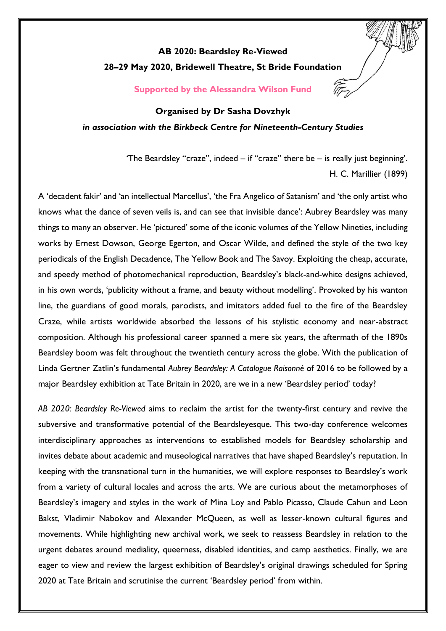**AB 2020: Beardsley Re-Viewed**

**28–29 May 2020, Bridewell Theatre, St Bride Foundation**

**Supported by the Alessandra Wilson Fund**

**Organised by Dr Sasha Dovzhyk** *in association with the Birkbeck Centre for Nineteenth-Century Studies*

> 'The Beardsley "craze", indeed – if "craze" there be – is really just beginning'. H. C. Marillier (1899)

A 'decadent fakir' and 'an intellectual Marcellus', 'the Fra Angelico of Satanism' and 'the only artist who knows what the dance of seven veils is, and can see that invisible dance': Aubrey Beardsley was many things to many an observer. He 'pictured' some of the iconic volumes of the Yellow Nineties, including works by Ernest Dowson, George Egerton, and Oscar Wilde, and defined the style of the two key periodicals of the English Decadence, The Yellow Book and The Savoy. Exploiting the cheap, accurate, and speedy method of photomechanical reproduction, Beardsley's black-and-white designs achieved, in his own words, 'publicity without a frame, and beauty without modelling'. Provoked by his wanton line, the guardians of good morals, parodists, and imitators added fuel to the fire of the Beardsley Craze, while artists worldwide absorbed the lessons of his stylistic economy and near-abstract composition. Although his professional career spanned a mere six years, the aftermath of the 1890s Beardsley boom was felt throughout the twentieth century across the globe. With the publication of Linda Gertner Zatlin's fundamental *Aubrey Beardsley: A Catalogue Raisonné* of 2016 to be followed by a major Beardsley exhibition at Tate Britain in 2020, are we in a new 'Beardsley period' today?

*AB 2020: Beardsley Re-Viewed* aims to reclaim the artist for the twenty-first century and revive the subversive and transformative potential of the Beardsleyesque. This two-day conference welcomes interdisciplinary approaches as interventions to established models for Beardsley scholarship and invites debate about academic and museological narratives that have shaped Beardsley's reputation. In keeping with the transnational turn in the humanities, we will explore responses to Beardsley's work from a variety of cultural locales and across the arts. We are curious about the metamorphoses of Beardsley's imagery and styles in the work of Mina Loy and Pablo Picasso, Claude Cahun and Leon Bakst, Vladimir Nabokov and Alexander McQueen, as well as lesser-known cultural figures and movements. While highlighting new archival work, we seek to reassess Beardsley in relation to the urgent debates around mediality, queerness, disabled identities, and camp aesthetics. Finally, we are eager to view and review the largest exhibition of Beardsley's original drawings scheduled for Spring 2020 at Tate Britain and scrutinise the current 'Beardsley period' from within.